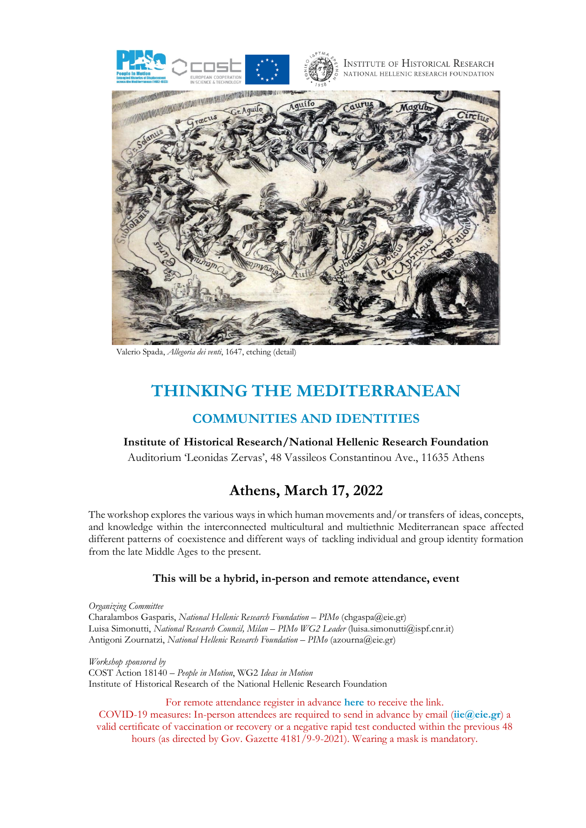



Valerio Spada, *Allegoria dei venti*, 1647, etching (detail)

# **THINKING THE MEDITERRANEAN**

## **COMMUNITIES AND IDENTITIES**

### **Institute of Historical Research/National Hellenic Research Foundation**

Auditorium 'Leonidas Zervas', 48 Vassileos Constantinou Ave., 11635 Athens

# **Athens, March 17, 2022**

The workshop explores the various ways in which human movements and/or transfers of ideas, concepts, and knowledge within the interconnected multicultural and multiethnic Mediterranean space affected different patterns of coexistence and different ways of tackling individual and group identity formation from the late Middle Ages to the present.

### **This will be a hybrid, in-person and remote attendance, event**

*Organizing Committee* Charalambos Gasparis, *National Hellenic Research Foundation* – *PIMo* (chgaspa@eie.gr) Luisa Simonutti, *National Research Council, Milan* – *PIMo WG2 Leader* (luisa.simonutti@ispf.cnr.it) Antigoni Zournatzi, *National Hellenic Research Foundation* – *PIMo* (azourna@eie.gr)

*Workshop sponsored by* COST Action 18140 – *People in Motion*, WG2 *Ideas in Motion* Institute of Historical Research of the National Hellenic Research Foundation

For remote attendance register in advance **here** to receive the link.

COVID-19 measures: In-person attendees are required to send in advance by email (**iie@eie.gr**) a valid certificate of vaccination or recovery or a negative rapid test conducted within the previous 48 hours (as directed by Gov. Gazette 4181/9-9-2021). Wearing a mask is mandatory.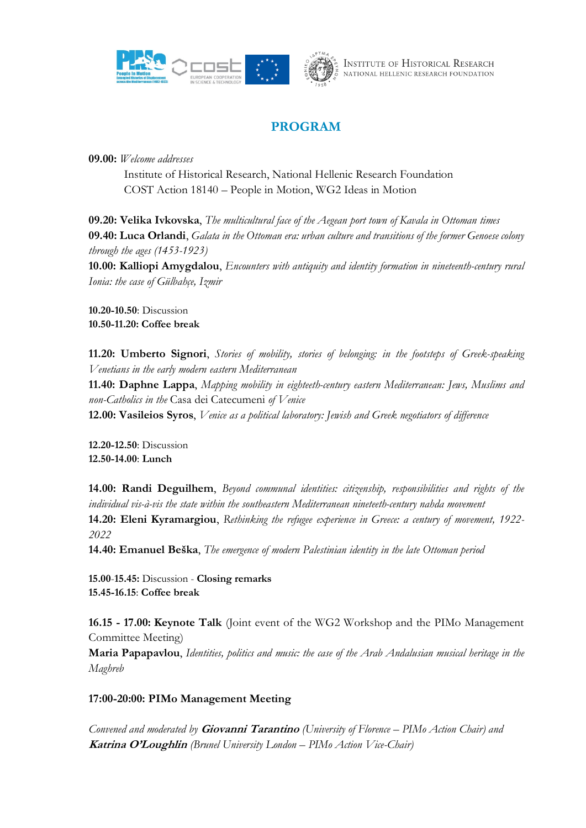



## **PROGRAM**

**09.00:** *Welcome addresses*

Institute of Historical Research, National Hellenic Research Foundation COST Action 18140 – People in Motion, WG2 Ideas in Motion

**09.20: Velika Ivkovska**, *The multicultural face of the Aegean port town of Kavala in Ottoman times* **09.40: Luca Orlandi**, *Galata in the Ottoman era: urban culture and transitions of the former Genoese colony through the ages (1453-1923)*

**10.00: Kalliopi Amygdalou**, *Encounters with antiquity and identity formation in nineteenth-century rural Ionia: the case of Gülbahçe, Izmir*

**10.20-10.50**: Discussion **10.50-11.20: Coffee break**

**11.20: Umberto Signori**, *Stories of mobility, stories of belonging: in the footsteps of Greek-speaking Venetians in the early modern eastern Mediterranean*

**11.40: Daphne Lappa**, *Mapping mobility in eighteeth-century eastern Mediterranean: Jews, Muslims and non-Catholics in the* Casa dei Catecumeni *of Venice*

**12.00: Vasileios Syros**, *Venice as a political laboratory: Jewish and Greek negotiators of difference*

**12.20-12.50**: Discussion **12.50-14.00**: **Lunch**

**14.00: Randi Deguilhem**, *Beyond communal identities: citizenship, responsibilities and rights of the individual vis-à-vis the state within the southeastern Mediterranean nineteeth-century nahda movement* **14.20: Eleni Kyramargiou**, *Rethinking the refugee experience in Greece: a century of movement, 1922- 2022*

**14.40: Emanuel Beška**, *The emergence of modern Palestinian identity in the late Ottoman period*

**15.00**-**15.45:** Discussion - **Closing remarks 15.45-16.15**: **Coffee break**

**16.15 - 17.00: Keynote Talk** (Joint event of the WG2 Workshop and the PIMo Management Committee Meeting)

**Maria Papapavlou**, *Identities, politics and music: the case of the Arab Andalusian musical heritage in the Maghreb*

## **17:00-20:00: PIMo Management Meeting**

*Convened and moderated by* **Giovanni Tarantino** *(University of Florence – PIMo Action Chair) and*  **Katrina O'Loughlin** *(Brunel University London – PIMo Action Vice-Chair)*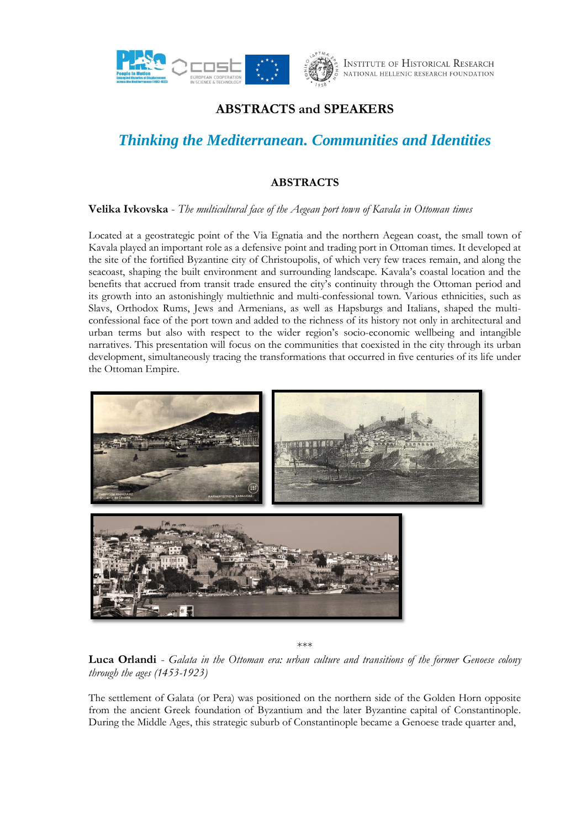

## **ABSTRACTS and SPEAKERS**

# *Thinking the Mediterranean. Communities and Identities*

## **ABSTRACTS**

### **Velika Ivkovska** - *The multicultural face of the Aegean port town of Kavala in Ottoman times*

Located at a geostrategic point of the Via Egnatia and the northern Aegean coast, the small town of Kavala played an important role as a defensive point and trading port in Ottoman times. It developed at the site of the fortified Byzantine city of Christoupolis, of which very few traces remain, and along the seacoast, shaping the built environment and surrounding landscape. Kavala's coastal location and the benefits that accrued from transit trade ensured the city's continuity through the Ottoman period and its growth into an astonishingly multiethnic and multi-confessional town. Various ethnicities, such as Slavs, Orthodox Rums, Jews and Armenians, as well as Hapsburgs and Italians, shaped the multiconfessional face of the port town and added to the richness of its history not only in architectural and urban terms but also with respect to the wider region's socio-economic wellbeing and intangible narratives. This presentation will focus on the communities that coexisted in the city through its urban development, simultaneously tracing the transformations that occurred in five centuries of its life under the Ottoman Empire.



\*\*\*

**Luca Orlandi** - *Galata in the Ottoman era: urban culture and transitions of the former Genoese colony through the ages (1453-1923)*

The settlement of Galata (or Pera) was positioned on the northern side of the Golden Horn opposite from the ancient Greek foundation of Byzantium and the later Byzantine capital of Constantinople. During the Middle Ages, this strategic suburb of Constantinople became a Genoese trade quarter and,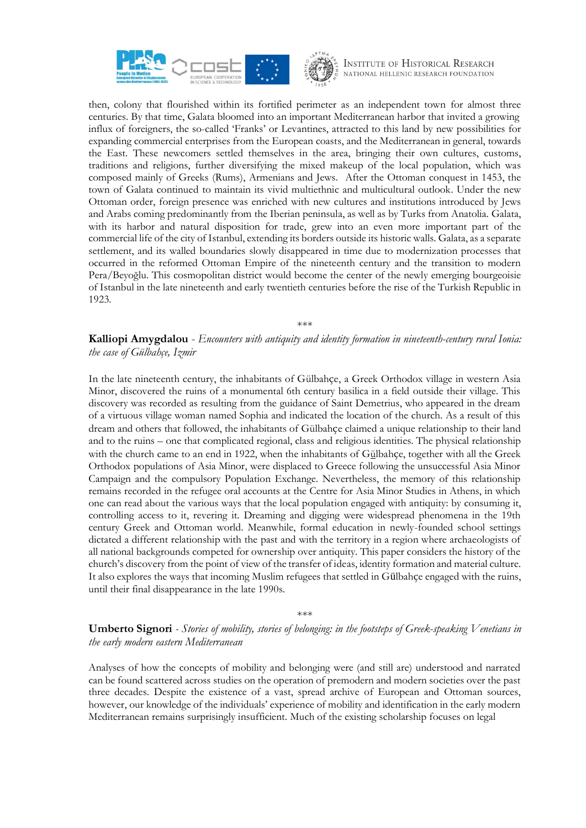



then, colony that flourished within its fortified perimeter as an independent town for almost three centuries. By that time, Galata bloomed into an important Mediterranean harbor that invited a growing influx of foreigners, the so-called 'Franks' or Levantines, attracted to this land by new possibilities for expanding commercial enterprises from the European coasts, and the Mediterranean in general, towards the East. These newcomers settled themselves in the area, bringing their own cultures, customs, traditions and religions, further diversifying the mixed makeup of the local population, which was composed mainly of Greeks (Rums), Armenians and Jews. After the Ottoman conquest in 1453, the town of Galata continued to maintain its vivid multiethnic and multicultural outlook. Under the new Ottoman order, foreign presence was enriched with new cultures and institutions introduced by Jews and Arabs coming predominantly from the Iberian peninsula, as well as by Turks from Anatolia. Galata, with its harbor and natural disposition for trade, grew into an even more important part of the commercial life of the city of Istanbul, extending its borders outside its historic walls. Galata, as a separate settlement, and its walled boundaries slowly disappeared in time due to modernization processes that occurred in the reformed Ottoman Empire of the nineteenth century and the transition to modern Pera/Beyoğlu. This cosmopolitan district would become the center of the newly emerging bourgeoisie of Istanbul in the late nineteenth and early twentieth centuries before the rise of the Turkish Republic in 1923.

\*\*\*

**Kalliopi Amygdalou** - *Encounters with antiquity and identity formation in nineteenth-century rural Ionia: the case of Gülbahçe, Izmir*

In the late nineteenth century, the inhabitants of Gülbahçe, a Greek Orthodox village in western Asia Minor, discovered the ruins of a monumental 6th century basilica in a field outside their village. This discovery was recorded as resulting from the guidance of Saint Demetrius, who appeared in the dream of a virtuous village woman named Sophia and indicated the location of the church. As a result of this dream and others that followed, the inhabitants of Gülbahçe claimed a unique relationship to their land and to the ruins – one that complicated regional, class and religious identities. The physical relationship with the church came to an end in 1922, when the inhabitants of Gülbahçe, together with all the Greek Orthodox populations of Asia Minor, were displaced to Greece following the unsuccessful Asia Minor Campaign and the compulsory Population Exchange. Nevertheless, the memory of this relationship remains recorded in the refugee oral accounts at the Centre for Asia Minor Studies in Athens, in which one can read about the various ways that the local population engaged with antiquity: by consuming it, controlling access to it, revering it. Dreaming and digging were widespread phenomena in the 19th century Greek and Ottoman world. Meanwhile, formal education in newly-founded school settings dictated a different relationship with the past and with the territory in a region where archaeologists of all national backgrounds competed for ownership over antiquity. This paper considers the history of the church's discovery from the point of view of the transfer of ideas, identity formation and material culture. It also explores the ways that incoming Muslim refugees that settled in Gülbahçe engaged with the ruins, until their final disappearance in the late 1990s.

\*\*\*

**Umberto Signori** *- Stories of mobility, stories of belonging: in the footsteps of Greek-speaking Venetians in the early modern eastern Mediterranean*

Analyses of how the concepts of mobility and belonging were (and still are) understood and narrated can be found scattered across studies on the operation of premodern and modern societies over the past three decades. Despite the existence of a vast, spread archive of European and Ottoman sources, however, our knowledge of the individuals' experience of mobility and identification in the early modern Mediterranean remains surprisingly insufficient. Much of the existing scholarship focuses on legal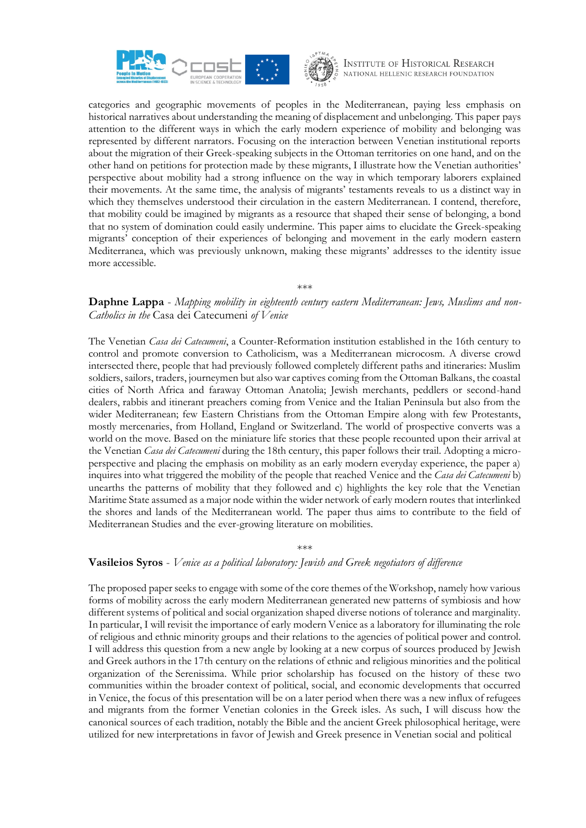



categories and geographic movements of peoples in the Mediterranean, paying less emphasis on historical narratives about understanding the meaning of displacement and unbelonging. This paper pays attention to the different ways in which the early modern experience of mobility and belonging was represented by different narrators. Focusing on the interaction between Venetian institutional reports about the migration of their Greek-speaking subjects in the Ottoman territories on one hand, and on the other hand on petitions for protection made by these migrants, I illustrate how the Venetian authorities' perspective about mobility had a strong influence on the way in which temporary laborers explained their movements. At the same time, the analysis of migrants' testaments reveals to us a distinct way in which they themselves understood their circulation in the eastern Mediterranean. I contend, therefore, that mobility could be imagined by migrants as a resource that shaped their sense of belonging, a bond that no system of domination could easily undermine. This paper aims to elucidate the Greek-speaking migrants' conception of their experiences of belonging and movement in the early modern eastern Mediterranea, which was previously unknown, making these migrants' addresses to the identity issue more accessible.

\*\*\*

## **Daphne Lappa** - *Mapping mobility in eighteenth century eastern Mediterranean: Jews, Muslims and non-Catholics in the* Casa dei Catecumeni *of Venice*

The Venetian *Casa dei Catecumeni*, a Counter-Reformation institution established in the 16th century to control and promote conversion to Catholicism, was a Mediterranean microcosm. A diverse crowd intersected there, people that had previously followed completely different paths and itineraries: Muslim soldiers, sailors, traders, journeymen but also war captives coming from the Ottoman Balkans, the coastal cities of North Africa and faraway Ottoman Anatolia; Jewish merchants, peddlers or second-hand dealers, rabbis and itinerant preachers coming from Venice and the Italian Peninsula but also from the wider Mediterranean; few Eastern Christians from the Ottoman Empire along with few Protestants, mostly mercenaries, from Holland, England or Switzerland. The world of prospective converts was a world on the move. Based on the miniature life stories that these people recounted upon their arrival at the Venetian *Casa dei Catecumeni* during the 18th century, this paper follows their trail. Adopting a microperspective and placing the emphasis on mobility as an early modern everyday experience, the paper a) inquires into what triggered the mobility of the people that reached Venice and the *Casa dei Catecumeni* b) unearths the patterns of mobility that they followed and c) highlights the key role that the Venetian Maritime State assumed as a major node within the wider network of early modern routes that interlinked the shores and lands of the Mediterranean world. The paper thus aims to contribute to the field of Mediterranean Studies and the ever-growing literature on mobilities.

## \*\*\*

#### **Vasileios Syros** - *Venice as a political laboratory: Jewish and Greek negotiators of difference*

The proposed paper seeks to engage with some of the core themes of the Workshop, namely how various forms of mobility across the early modern Mediterranean generated new patterns of symbiosis and how different systems of political and social organization shaped diverse notions of tolerance and marginality. In particular, I will revisit the importance of early modern Venice as a laboratory for illuminating the role of religious and ethnic minority groups and their relations to the agencies of political power and control. I will address this question from a new angle by looking at a new corpus of sources produced by Jewish and Greek authors in the 17th century on the relations of ethnic and religious minorities and the political organization of the Serenissima. While prior scholarship has focused on the history of these two communities within the broader context of political, social, and economic developments that occurred in Venice, the focus of this presentation will be on a later period when there was a new influx of refugees and migrants from the former Venetian colonies in the Greek isles. As such, I will discuss how the canonical sources of each tradition, notably the Bible and the ancient Greek philosophical heritage, were utilized for new interpretations in favor of Jewish and Greek presence in Venetian social and political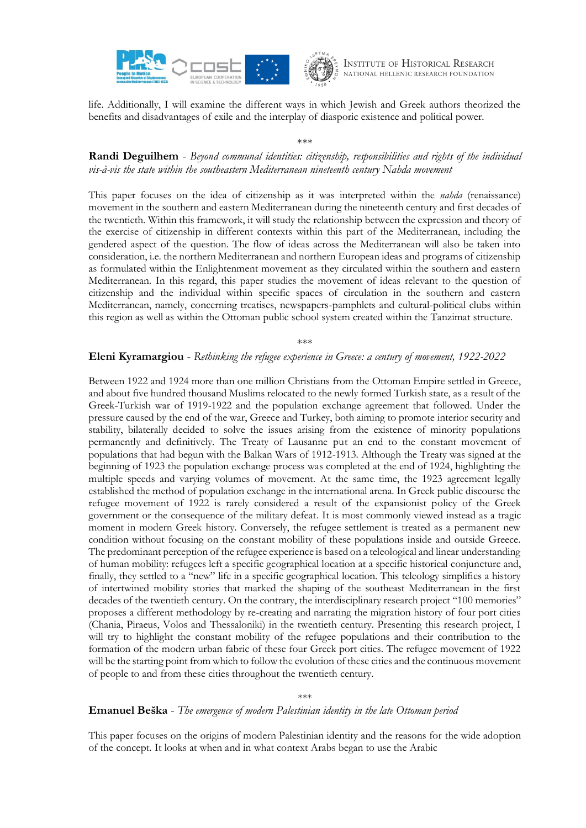



life. Additionally, I will examine the different ways in which Jewish and Greek authors theorized the benefits and disadvantages of exile and the interplay of diasporic existence and political power.

\*\*\*

## **Randi Deguilhem** - *Beyond communal identities: citizenship, responsibilities and rights of the individual vis-à-vis the state within the southeastern Mediterranean nineteenth century Nahda movement*

This paper focuses on the idea of citizenship as it was interpreted within the *nahda* (renaissance) movement in the southern and eastern Mediterranean during the nineteenth century and first decades of the twentieth. Within this framework, it will study the relationship between the expression and theory of the exercise of citizenship in different contexts within this part of the Mediterranean, including the gendered aspect of the question. The flow of ideas across the Mediterranean will also be taken into consideration, i.e. the northern Mediterranean and northern European ideas and programs of citizenship as formulated within the Enlightenment movement as they circulated within the southern and eastern Mediterranean. In this regard, this paper studies the movement of ideas relevant to the question of citizenship and the individual within specific spaces of circulation in the southern and eastern Mediterranean, namely, concerning treatises, newspapers-pamphlets and cultural-political clubs within this region as well as within the Ottoman public school system created within the Tanzimat structure.

\*\*\*

### **Eleni Kyramargiou** - *Rethinking the refugee experience in Greece: a century of movement, 1922-2022*

Between 1922 and 1924 more than one million Christians from the Ottoman Empire settled in Greece, and about five hundred thousand Muslims relocated to the newly formed Turkish state, as a result of the Greek-Turkish war of 1919-1922 and the population exchange agreement that followed. Under the pressure caused by the end of the war, Greece and Turkey, both aiming to promote interior security and stability, bilaterally decided to solve the issues arising from the existence of minority populations permanently and definitively. The Treaty of Lausanne put an end to the constant movement of populations that had begun with the Balkan Wars of 1912-1913. Although the Treaty was signed at the beginning of 1923 the population exchange process was completed at the end of 1924, highlighting the multiple speeds and varying volumes of movement. At the same time, the 1923 agreement legally established the method of population exchange in the international arena. In Greek public discourse the refugee movement of 1922 is rarely considered a result of the expansionist policy of the Greek government or the consequence of the military defeat. It is most commonly viewed instead as a tragic moment in modern Greek history. Conversely, the refugee settlement is treated as a permanent new condition without focusing on the constant mobility of these populations inside and outside Greece. The predominant perception of the refugee experience is based on a teleological and linear understanding of human mobility: refugees left a specific geographical location at a specific historical conjuncture and, finally, they settled to a "new" life in a specific geographical location. This teleology simplifies a history of intertwined mobility stories that marked the shaping of the southeast Mediterranean in the first decades of the twentieth century. On the contrary, the interdisciplinary research project "100 memories" proposes a different methodology by re-creating and narrating the migration history of four port cities (Chania, Piraeus, Volos and Thessaloniki) in the twentieth century. Presenting this research project, I will try to highlight the constant mobility of the refugee populations and their contribution to the formation of the modern urban fabric of these four Greek port cities. The refugee movement of 1922 will be the starting point from which to follow the evolution of these cities and the continuous movement of people to and from these cities throughout the twentieth century.

\*\*\*

### **Emanuel Beška** - *The emergence of modern Palestinian identity in the late Ottoman period*

This paper focuses on the origins of modern Palestinian identity and the reasons for the wide adoption of the concept. It looks at when and in what context Arabs began to use the Arabic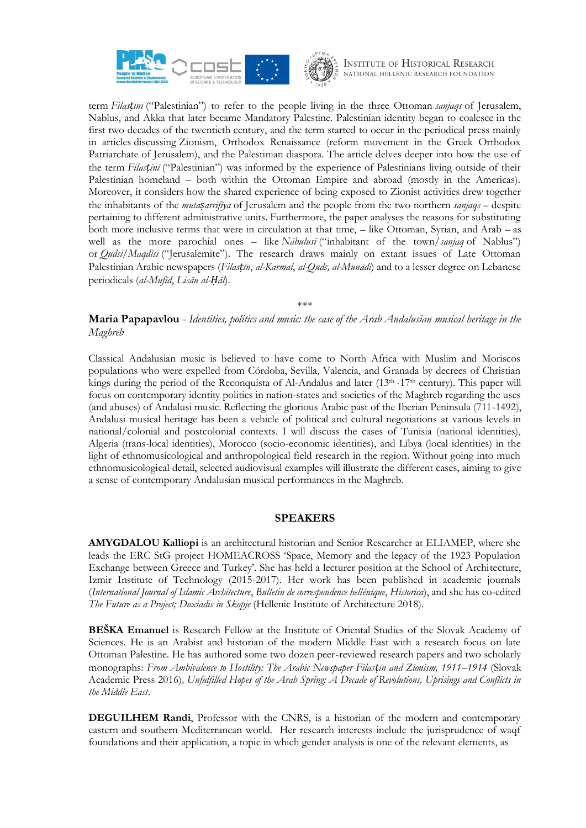



term *Filasṭīnī* ("Palestinian") to refer to the people living in the three Ottoman *sanjaqs* of Jerusalem, Nablus, and Akka that later became Mandatory Palestine. Palestinian identity began to coalesce in the first two decades of the twentieth century, and the term started to occur in the periodical press mainly in articles discussing Zionism, Orthodox Renaissance (reform movement in the Greek Orthodox Patriarchate of Jerusalem), and the Palestinian diaspora. The article delves deeper into how the use of the term *Filasṭīnī* ("Palestinian") was informed by the experience of Palestinians living outside of their Palestinian homeland – both within the Ottoman Empire and abroad (mostly in the Americas). Moreover, it considers how the shared experience of being exposed to Zionist activities drew together the inhabitants of the *mutaṣarrifīya* of Jerusalem and the people from the two northern *sanjaqs* – despite pertaining to different administrative units. Furthermore, the paper analyses the reasons for substituting both more inclusive terms that were in circulation at that time, – like Ottoman, Syrian, and Arab – as well as the more parochial ones – like *Nābulusī* ("inhabitant of the town/*sanjaq* of Nablus") or *Qudsī*/*Maqdisī* ("Jerusalemite"). The research draws mainly on extant issues of Late Ottoman Palestinian Arabic newspapers (*Filasṭīn*, *al-Karmal*, *al-Quds, al-Munādī*) and to a lesser degree on Lebanese periodicals (*al-Mufīd*, *Lisān al-Ḥāl*).

\*\*\*

### **Maria Papapavlou** - *Identities, politics and music: the case of the Arab Andalusian musical heritage in the Maghreb*

Classical Andalusian music is believed to have come to North Africa with Muslim and Moriscos populations who were expelled from Córdoba, Sevilla, Valencia, and Granada by decrees of Christian kings during the period of the Reconquista of Al-Andalus and later (13<sup>th</sup> -17<sup>th</sup> century). This paper will focus on contemporary identity politics in nation-states and societies of the Maghreb regarding the uses (and abuses) of Andalusi music. Reflecting the glorious Arabic past of the Iberian Peninsula (711-1492), Andalusi musical heritage has been a vehicle of political and cultural negotiations at various levels in national/colonial and postcolonial contexts. I will discuss the cases of Tunisia (national identities), Algeria (trans-local identities), Morocco (socio-economic identities), and Libya (local identities) in the light of ethnomusicological and anthropological field research in the region. Without going into much ethnomusicological detail, selected audiovisual examples will illustrate the different cases, aiming to give a sense of contemporary Andalusian musical performances in the Maghreb.

### **SPEAKERS**

**AMYGDALOU Kalliopi** is an architectural historian and Senior Researcher at ELIAMEP, where she leads the ERC StG project HOMEACROSS 'Space, Memory and the legacy of the 1923 Population Exchange between Greece and Turkey'. She has held a lecturer position at the School of Architecture, Izmir Institute of Technology (2015-2017). Her work has been published in academic journals (*International Journal of Islamic Architecture*, *Bulletin de correspondence hellénique*, *Historica*), and she has co-edited *The Future as a Project; Doxiadis in Skopje* (Hellenic Institute of Architecture 2018).

**BEŠKA Emanuel** is Research Fellow at the Institute of Oriental Studies of the Slovak Academy of Sciences. He is an Arabist and historian of the modern Middle East with a research focus on late Ottoman Palestine. He has authored some two dozen peer-reviewed research papers and two scholarly monographs: *From Ambivalence to Hostility: The Arabic Newspaper Filasṭīn and Zionism, 1911–1914* (Slovak Academic Press 2016)*, Unfulfilled Hopes of the Arab Spring: A Decade of Revolutions, Uprisings and Conflicts in the Middle East*.

**DEGUILHEM Randi**, Professor with the CNRS, is a historian of the modern and contemporary eastern and southern Mediterranean world. Her research interests include the jurisprudence of waqf foundations and their application, a topic in which gender analysis is one of the relevant elements, as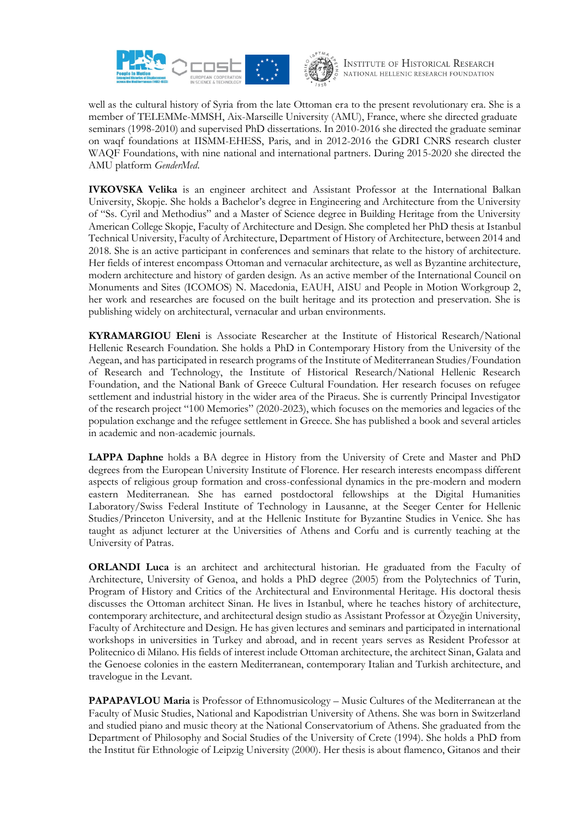



well as the cultural history of Syria from the late Ottoman era to the present revolutionary era. She is a member of TELEMMe-MMSH, Aix-Marseille University (AMU), France, where she directed graduate seminars (1998-2010) and supervised PhD dissertations. In 2010-2016 she directed the graduate seminar on waqf foundations at IISMM-EHESS, Paris, and in 2012-2016 the GDRI CNRS research cluster WAQF Foundations, with nine national and international partners. During 2015-2020 she directed the AMU platform *GenderMed*.

**IVKOVSKA Velika** is an engineer architect and Assistant Professor at the International Balkan University, Skopje. She holds a Bachelor's degree in Engineering and Architecture from the University of "Ss. Cyril and Methodius" and a Master of Science degree in Building Heritage from the University American College Skopje, Faculty of Architecture and Design. She completed her PhD thesis at Istanbul Technical University, Faculty of Architecture, Department of History of Architecture, between 2014 and 2018. She is an active participant in conferences and seminars that relate to the history of architecture. Her fields of interest encompass Ottoman and vernacular architecture, as well as Byzantine architecture, modern architecture and history of garden design. As an active member of the International Council on Monuments and Sites (ICOMOS) N. Macedonia, EAUH, AISU and People in Motion Workgroup 2, her work and researches are focused on the built heritage and its protection and preservation. She is publishing widely on architectural, vernacular and urban environments.

**KYRAMARGIOU Eleni** is Associate Researcher at the Institute of Historical Research/National Hellenic Research Foundation. She holds a PhD in Contemporary History from the University of the Aegean, and has participated in research programs of the Institute of Mediterranean Studies/Foundation of Research and Technology, the Institute of Historical Research/National Hellenic Research Foundation, and the National Bank of Greece Cultural Foundation. Her research focuses on refugee settlement and industrial history in the wider area of the Piraeus. She is currently Principal Investigator of the research project "100 Memories" (2020-2023), which focuses on the memories and legacies of the population exchange and the refugee settlement in Greece. She has published a book and several articles in academic and non-academic journals.

**LAPPA Daphne** holds a BA degree in History from the University of Crete and Master and PhD degrees from the European University Institute of Florence. Her research interests encompass different aspects of religious group formation and cross-confessional dynamics in the pre-modern and modern eastern Mediterranean. She has earned postdoctoral fellowships at the Digital Humanities Laboratory/Swiss Federal Institute of Technology in Lausanne, at the Seeger Center for Hellenic Studies/Princeton University, and at the Hellenic Institute for Byzantine Studies in Venice. She has taught as adjunct lecturer at the Universities of Athens and Corfu and is currently teaching at the University of Patras.

**ORLANDI Luca** is an architect and architectural historian. He graduated from the Faculty of Architecture, University of Genoa, and holds a PhD degree (2005) from the Polytechnics of Turin, Program of History and Critics of the Architectural and Environmental Heritage. His doctoral thesis discusses the Ottoman architect Sinan. He lives in Istanbul, where he teaches history of architecture, contemporary architecture, and architectural design studio as Assistant Professor at Özyeğin University, Faculty of Architecture and Design. He has given lectures and seminars and participated in international workshops in universities in Turkey and abroad, and in recent years serves as Resident Professor at Politecnico di Milano. His fields of interest include Ottoman architecture, the architect Sinan, Galata and the Genoese colonies in the eastern Mediterranean, contemporary Italian and Turkish architecture, and travelogue in the Levant.

**PAPAPAVLOU Maria** is Professor of Ethnomusicology – Music Cultures of the Mediterranean at the Faculty of Music Studies, National and Kapodistrian University of Athens. She was born in Switzerland and studied piano and music theory at the National Conservatorium of Athens. She graduated from the Department of Philosophy and Social Studies of the University of Crete (1994). She holds a PhD from the Institut für Ethnologie of Leipzig University (2000). Her thesis is about flamenco, Gitanos and their